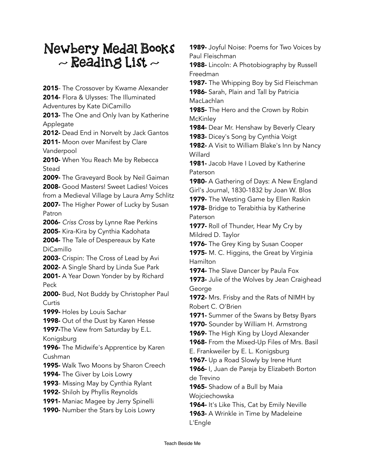## Newbery Medal Books  $\sim$  Reading List  $\sim$

2015- The Crossover by Kwame Alexander 2014- Flora & Ulysses: The Illuminated Adventures by Kate DiCamillo 2013- The One and Only Ivan by Katherine Applegate 2012- Dead End in Norvelt by Jack Gantos 2011- Moon over Manifest by Clare Vanderpool 2010- When You Reach Me by Rebecca Stead 2009- The Graveyard Book by Neil Gaiman 2008- Good Masters! Sweet Ladies! Voices from a Medieval Village by Laura Amy Schlitz 2007- The Higher Power of Lucky by Susan Patron 2006- *Criss Cross* by Lynne Rae Perkins 2005- Kira-Kira by Cynthia Kadohata 2004- The Tale of Despereaux by Kate DiCamillo 2003- Crispin: The Cross of Lead by Avi 2002- A Single Shard by Linda Sue Park 2001- A Year Down Yonder by by Richard Peck 2000- Bud, Not Buddy by Christopher Paul Curtis 1999- Holes by Louis Sachar **1998-** Out of the Dust by Karen Hesse **1997-The View from Saturday by E.L.** Konigsburg 1996- The Midwife's Apprentice by Karen Cushman **1995-** Walk Two Moons by Sharon Creech 1994- The Giver by Lois Lowry 1993- Missing May by Cynthia Rylant 1992- Shiloh by Phyllis Reynolds **1991-** Maniac Magee by Jerry Spinelli 1990- Number the Stars by Lois Lowry

**1989-** Joyful Noise: Poems for Two Voices by Paul Fleischman

1988- Lincoln: A Photobiography by Russell Freedman

1987- The Whipping Boy by Sid Fleischman 1986- Sarah, Plain and Tall by Patricia MacLachlan

1985- The Hero and the Crown by Robin **McKinley** 

1984- Dear Mr. Henshaw by Beverly Cleary

**1983-** Dicey's Song by Cynthia Voigt **1982-** A Visit to William Blake's Inn by Nancy Willard

1981- Jacob Have I Loved by Katherine Paterson

1980- A Gathering of Days: A New England Girl's Journal, 1830-1832 by Joan W. Blos

**1979-** The Westing Game by Ellen Raskin **1978-** Bridge to Terabithia by Katherine Paterson

**1977-** Roll of Thunder, Hear My Cry by Mildred D. Taylor

**1976-** The Grey King by Susan Cooper

1975- M. C. Higgins, the Great by Virginia Hamilton

**1974-** The Slave Dancer by Paula Fox

**1973-** Julie of the Wolves by Jean Craighead George

**1972-** Mrs. Frisby and the Rats of NIMH by Robert C. O'Brien

1971- Summer of the Swans by Betsy Byars

1970- Sounder by William H. Armstrong

**1969-** The High King by Lloyd Alexander

1968- From the Mixed-Up Files of Mrs. Basil

E. Frankweiler by E. L. Konigsburg

1967- Up a Road Slowly by Irene Hunt

1966- I, Juan de Pareja by Elizabeth Borton de Trevino

1965- Shadow of a Bull by Maia Wojciechowska

**1964-** It's Like This, Cat by Emily Neville

1963- A Wrinkle in Time by Madeleine L'Engle